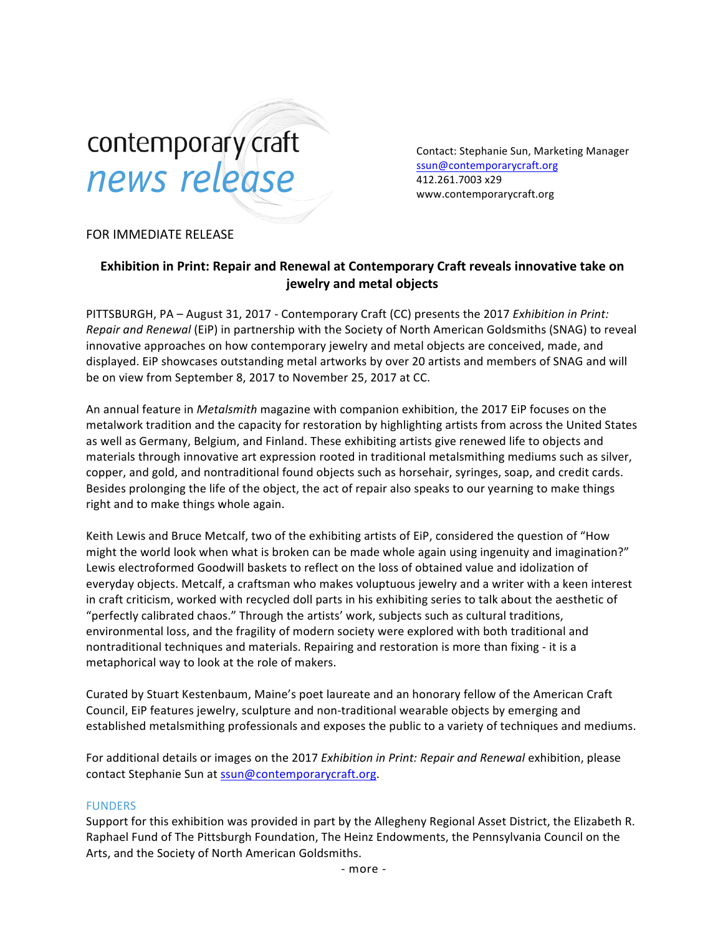# contemporary craft news release

Contact: Stephanie Sun, Marketing Manager ssun@contemporarycraft.org 412.261.7003 x29 www.contemporarycraft.org

## FOR IMMEDIATE RELEASE

## **Exhibition in Print: Repair and Renewal at Contemporary Craft reveals innovative take on jewelry and metal objects**

PITTSBURGH, PA – August 31, 2017 - Contemporary Craft (CC) presents the 2017 *Exhibition in Print: Repair and Renewal* (EiP) in partnership with the Society of North American Goldsmiths (SNAG) to reveal innovative approaches on how contemporary jewelry and metal objects are conceived, made, and displayed. EiP showcases outstanding metal artworks by over 20 artists and members of SNAG and will be on view from September 8, 2017 to November 25, 2017 at CC.

An annual feature in *Metalsmith* magazine with companion exhibition, the 2017 EiP focuses on the metalwork tradition and the capacity for restoration by highlighting artists from across the United States as well as Germany, Belgium, and Finland. These exhibiting artists give renewed life to objects and materials through innovative art expression rooted in traditional metalsmithing mediums such as silver, copper, and gold, and nontraditional found objects such as horsehair, syringes, soap, and credit cards. Besides prolonging the life of the object, the act of repair also speaks to our yearning to make things right and to make things whole again.

Keith Lewis and Bruce Metcalf, two of the exhibiting artists of EiP, considered the question of "How might the world look when what is broken can be made whole again using ingenuity and imagination?" Lewis electroformed Goodwill baskets to reflect on the loss of obtained value and idolization of everyday objects. Metcalf, a craftsman who makes voluptuous jewelry and a writer with a keen interest in craft criticism, worked with recycled doll parts in his exhibiting series to talk about the aesthetic of "perfectly calibrated chaos." Through the artists' work, subjects such as cultural traditions, environmental loss, and the fragility of modern society were explored with both traditional and nontraditional techniques and materials. Repairing and restoration is more than fixing - it is a metaphorical way to look at the role of makers.

Curated by Stuart Kestenbaum, Maine's poet laureate and an honorary fellow of the American Craft Council, EiP features jewelry, sculpture and non-traditional wearable objects by emerging and established metalsmithing professionals and exposes the public to a variety of techniques and mediums.

For additional details or images on the 2017 *Exhibition in Print: Repair and Renewal* exhibition, please contact Stephanie Sun at ssun@contemporarycraft.org.

### FUNDERS

Support for this exhibition was provided in part by the Allegheny Regional Asset District, the Elizabeth R. Raphael Fund of The Pittsburgh Foundation, The Heinz Endowments, the Pennsylvania Council on the Arts, and the Society of North American Goldsmiths.